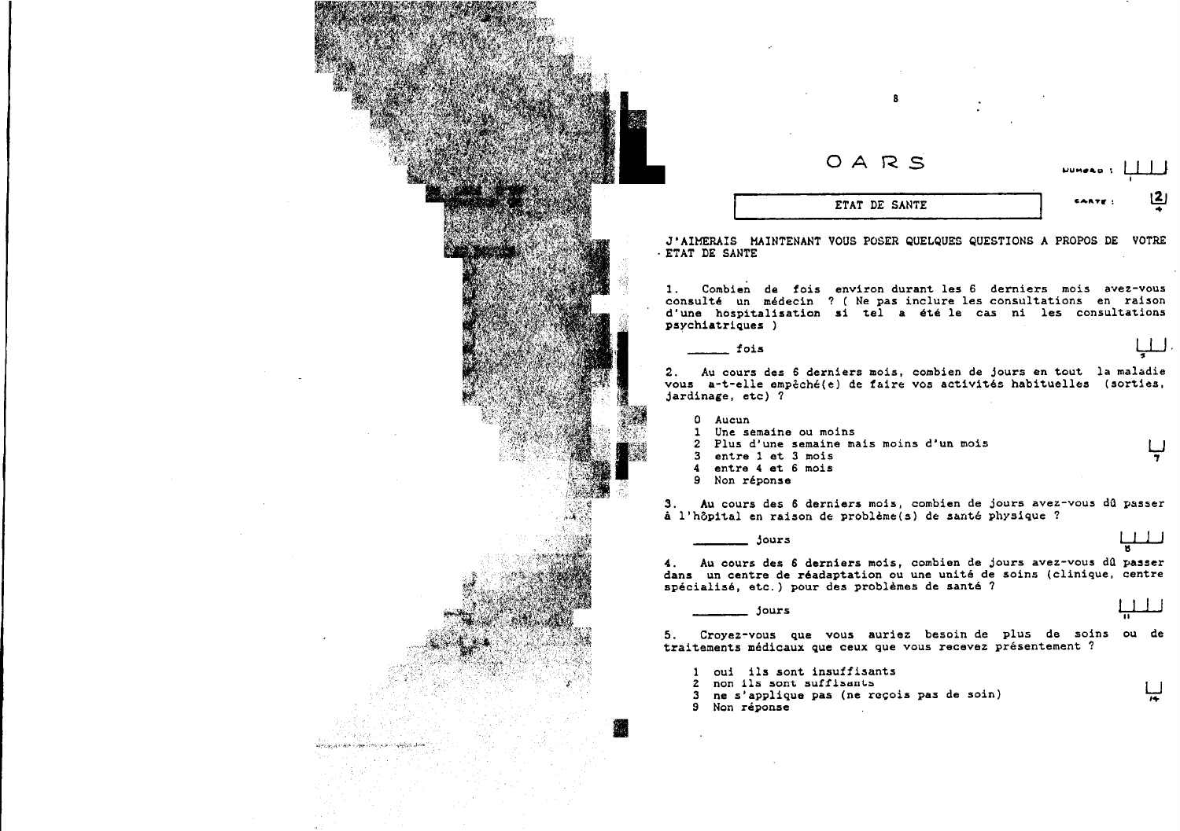| OARS                                                                                                                                                                                                  | <b>UUMPAD 1</b> |
|-------------------------------------------------------------------------------------------------------------------------------------------------------------------------------------------------------|-----------------|
| ETAT DE SANTE                                                                                                                                                                                         | <u>رح</u>       |
| J'AIMERAIS MAINTENANT VOUS POSER QUELQUES QUESTIONS A PROPOS DE                                                                                                                                       | <b>VOTRE</b>    |
| - ETAT DE SANTE                                                                                                                                                                                       |                 |
| Combien de fois environ durant les 6 derniers mois avez-vous<br>1.                                                                                                                                    |                 |
| consulté un médecin ? (Ne pas inclure les consultations en raison<br>d'une hospitalisation si tel a été le cas ni les consultations                                                                   |                 |
| psychiatriques )                                                                                                                                                                                      |                 |
| fois                                                                                                                                                                                                  |                 |
| Au cours des 6 derniers mois, combien de jours en tout la maladie<br>2.<br>vous a-t-elle empêché(e) de faire vos activités habituelles (sorties,<br>jardinage, etc) ?                                 |                 |
| 0 Aucun                                                                                                                                                                                               |                 |
| 1 Une semaine ou moins<br>2 Plus d'une semaine mais moins d'un mois                                                                                                                                   |                 |
| 3 entre 1 et 3 mois<br>4 entre 4 et 6 mois<br>9 Non réponse                                                                                                                                           |                 |
| Au cours des 6 derniers mois, combien de jours avez-vous dû passer                                                                                                                                    |                 |
| à l'hôpital en raison de problème(s) de santé physique ?                                                                                                                                              |                 |
| jours                                                                                                                                                                                                 |                 |
| Au cours des 6 derniers mois, combien de jours avez-vous dû passer<br>4.<br>dans un centre de réadaptation ou une unité de soins (clinique, centre<br>spécialisé, etc.) pour des problèmes de santé ? |                 |
| jours                                                                                                                                                                                                 |                 |
|                                                                                                                                                                                                       |                 |

5. Croyez-vous que vous auriez besoin de plus de soins ou de<br>traitements médicaux que ceux que vous recevez présentement ?

ليا

1 oui ils sont insuffisants<br>2 non ils sont suffisants<br>3 ne s'applique pas (ne reçois pas de soin)<br>9 Non réponse

 $\sim$ 

화무자 결과 전

.<br>Artis ja oliv oliv oliva parto appa sool to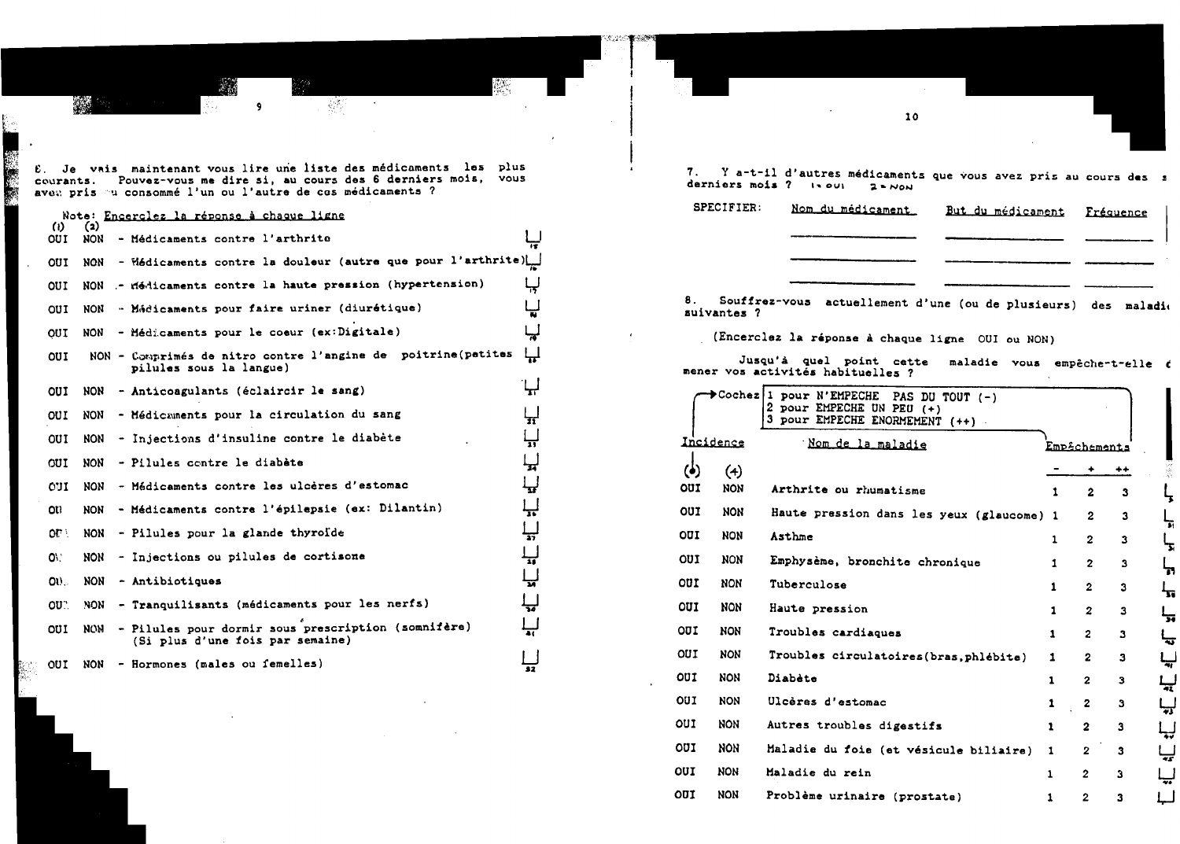£. Je vais maintenant vous lire une liste des médicaments les plus courants. Pouvez-vous me dire si, au cours des 6 derniers mois, vous avet pris en consommé l'un ou l'autre de cos médicaments ?

郊

W.

## Note: Encerclez la réponse à chaque ligne

42

Ļ.

| ω<br>OUI     | (2)<br>NON | - Médicaments contre l'arthrite                                                         | $\overline{15}$ |
|--------------|------------|-----------------------------------------------------------------------------------------|-----------------|
| OUI          | <b>NON</b> | - Médicaments contre la douleur (autre que pour l'arthrite)                             |                 |
| OUI          | <b>NON</b> | - riédicaments contre la haute pression (hypertension)                                  | لہا             |
| OUI          | NON        | - Médicaments pour faire uriner (diurétique)                                            | لپا             |
| OUI          | <b>NON</b> | - Médicaments pour le coeur (ex:Digitale)                                               | لہا             |
| <b>OUI</b>   |            | NON - Comprimés de nitro contre l'angine de poitrine(petites<br>pilules sous la langue) | 닢               |
| OUI          | NON        | - Anticoagulants (éclaircir le sang)                                                    | Н               |
| OUI          | NON        | - Médicaments pour la circulation du sang                                               | n               |
| <b>OUI</b>   | <b>NON</b> | - Injections d'insuline contre le diabète                                               | 닢               |
| CUI          | <b>NON</b> | - Pilules contre le diabète                                                             | 닢               |
| OUI          | <b>NON</b> | - Médicaments contre les ulcères d'estomac                                              | Ц               |
| OU.          | <b>NON</b> | - Médicaments contre l'épilepsie (ex: Dilantin)                                         | ليا             |
| ot :         | <b>NON</b> | - Pilules pour la glande thyroide                                                       | 닢               |
| ON.          | <b>NON</b> | - Injections ou pilules de cortisone                                                    | $\frac{1}{46}$  |
| $\mathbf{a}$ | <b>NON</b> | - Antibiotiques                                                                         | پا              |
| OU.          | NON.       | - Tranquilisants (médicaments pour les nerfs)                                           |                 |
| OUI          | <b>NON</b> | - Pilules pour dormir sous prescription (somnifère)<br>(Si plus d'une fois par semaine) |                 |
| our          | NON        | - Hormones (males ou femelles)                                                          | 32              |

7. Y a-t-il d'autres médicaments que vous avez pris au cours des s derniers mois ?  $|1001|$   $2000$ 

10

| <b>SPECIFIER:</b> | Nom du médicament | But du médicament Fréquence |  |
|-------------------|-------------------|-----------------------------|--|
|                   |                   |                             |  |
|                   |                   |                             |  |
|                   |                   |                             |  |

8. Souffrez-vous actuellement d'une (ou de plusieurs) des maladio suivantes ?

(Encerclez la réponse à chaque ligne OUI ou NON)

Jusqu'à quel point cette maladie vous empêche-t-elle é mener vos activités habituelles ?

|            |            | Cochez 1 pour N'EMPECHE<br>PAS DU TOUT $(-)$<br>2<br>pour EMPECHE UN PEU (+)<br>3<br>pour EMPECHE ENORMEMENT (++) |              |              |              |
|------------|------------|-------------------------------------------------------------------------------------------------------------------|--------------|--------------|--------------|
|            | Incidence  | Nom de la maladie                                                                                                 |              | Emp£chements |              |
|            | (4)        |                                                                                                                   |              |              | ++           |
| OUI        | <b>NON</b> | Arthrite ou rhumatisme                                                                                            | 1            | 2            | з            |
| OUI        | <b>NON</b> | Haute pression dans les yeux (glaucome) 1                                                                         |              | $\mathbf{2}$ | 3            |
| our        | <b>NON</b> | Asthme                                                                                                            | 1            | $\mathbf{2}$ | 3            |
| <b>OUI</b> | <b>NON</b> | Emphysème, bronchite chronique                                                                                    | 1            | $\mathbf{2}$ | 3            |
| OUI        | <b>NON</b> | Tuberculose                                                                                                       | 1            | $\mathbf{2}$ | 3            |
| <b>OUI</b> | <b>NON</b> | Haute pression                                                                                                    | $\mathbf{1}$ | $\mathbf{z}$ | 3            |
| <b>OUI</b> | <b>NON</b> | Troubles cardiaques                                                                                               | 1            | $\mathbf{2}$ | $\mathbf{3}$ |
| OUI        | <b>NON</b> | Troubles circulatoires (bras, phlébite)                                                                           | 1            | 2            | 3            |
| <b>OUI</b> | <b>NON</b> | Diabète                                                                                                           | 1            | $\mathbf{z}$ | з            |
| OUI        | <b>NON</b> | Ulcères d'estomac                                                                                                 | 1            | $\mathbf{z}$ | 3            |
| our        | <b>NON</b> | Autres troubles digestifs                                                                                         | 1            | $\mathbf{2}$ | 3            |
| OUI        | <b>NON</b> | Maladie du foie (et vésicule biliaire)                                                                            | 1            | 2            | 3            |
| OUI        | <b>NON</b> | Maladie du rein                                                                                                   | 1            | 2            | 3            |
| OUI        | <b>NON</b> | Problème urinaire (prostate)                                                                                      | 1            | 2            | 3            |
|            |            |                                                                                                                   |              |              |              |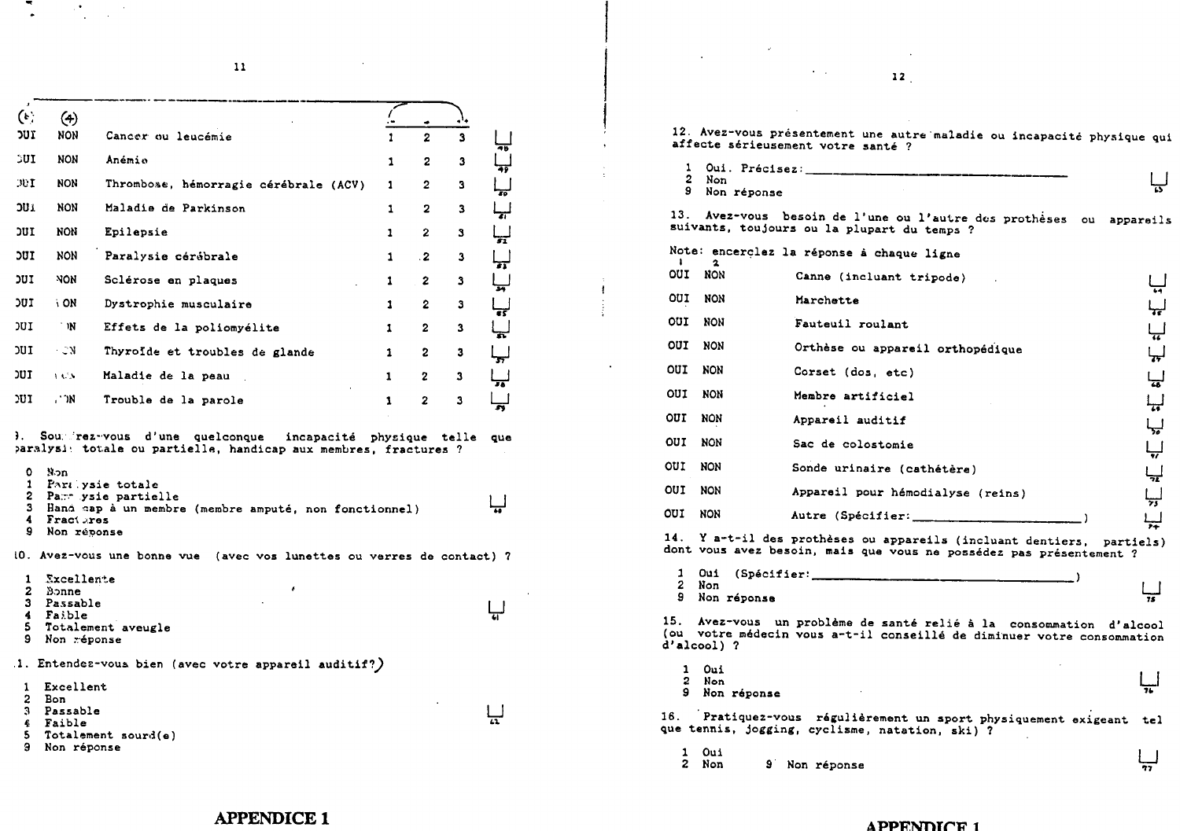$11$ 

 $\mathbb{R}^{\bullet}$  $\mathcal{L}_{\text{max}}$ 

| $\left( \cdot \right)$             | $\left( 4\right)$                                              |                                                                                                                                                          |              |                  |    |                         |   |  |
|------------------------------------|----------------------------------------------------------------|----------------------------------------------------------------------------------------------------------------------------------------------------------|--------------|------------------|----|-------------------------|---|--|
| <b>זטכ</b>                         | NON                                                            | Cancer ou leucémie                                                                                                                                       | $\mathbf{1}$ | $\mathbf{z}$     | 3  | 46                      |   |  |
| <b>SUI</b>                         | <b>NON</b>                                                     | Anémie                                                                                                                                                   | 1            | $\mathbf{z}$     | 3  | क्क                     |   |  |
| ЭUI                                | <b>NON</b>                                                     | Thrombose, hémorragie cérébrale (ACV)                                                                                                                    | 1.           | $\mathbf{2}$     | з  | Ŧ6                      |   |  |
| JUI.                               | <b>NON</b>                                                     | Maladie de Parkinson                                                                                                                                     | 1            | $\overline{2}$   | 3  | ᆎ                       |   |  |
| <b>IUC</b>                         | non                                                            | Epilepsie                                                                                                                                                | $\mathbf{1}$ | 2                | S. | $\overline{\mathbf{S}}$ |   |  |
| <b>DUI</b>                         | <b>NON</b>                                                     | Paralysie cérébrale                                                                                                                                      | 1            | $\cdot$ 2        | 3  | π                       |   |  |
| דטכ                                | <b>NON</b>                                                     | Sclérose en plaques<br><b>College</b>                                                                                                                    | 1            | $\boldsymbol{2}$ | 3  | ᆔ                       | ŧ |  |
| <b>IUC</b>                         | i ON                                                           | Dystrophie musculaire                                                                                                                                    | 1            | $\mathbf{2}$     | з  | न्द                     |   |  |
| וטכ                                | 'N                                                             | Effets de la poliomyélite                                                                                                                                | $\mathbf{1}$ | $\mathbf{2}$     | 3  |                         |   |  |
| נטכ                                | - ON                                                           | Thyroide et troubles de glande                                                                                                                           | $\mathbf{1}$ | 2                | 3  |                         |   |  |
| דטכ                                | <b>ALL</b>                                                     | Maladie de la peau                                                                                                                                       | $\mathbf{1}$ | $\mathbf{2}$     | 3  |                         |   |  |
|                                    |                                                                |                                                                                                                                                          | 1            | $\mathbf{z}$     | 3  |                         |   |  |
|                                    | . M                                                            | Trouble de la parole<br>Soumirez-vous d'une quelconque incapacité physique telle que<br>paralysi: totale ou partielle, handicap aux membres, fractures ? |              |                  |    |                         |   |  |
| ۰<br>9.                            | Non<br>4 Fractures<br>Non réponse                              | 1 Part ysie totale<br>2 Parr ysie partielle<br>3 Hand cap à un membre (membre amputé, non fonctionnel)                                                   |              |                  |    |                         |   |  |
|                                    |                                                                | 10. Avez-vous une bonne vue (avec vos lunettes ou verres de contact) ?                                                                                   |              |                  |    |                         |   |  |
| ו טכ<br><b>J.</b><br>4<br>5.<br>9. | 1 Excellente<br>2 Bonne<br>3 Passable<br>Faible<br>Non réponse | Totalement aveugle                                                                                                                                       |              |                  |    |                         |   |  |
|                                    |                                                                | .1. Entendez-vous bien (avec votre appareil auditif?)                                                                                                    |              |                  |    |                         |   |  |

 $12$ 

12. Avez-vous présentement une autre maladie ou incapacité physique qui affecte sérieusement votre santé ?



13. Avez-vous besoin de l'une ou l'autre des prothèses ou appareils uivants, toujours ou la plupart du temps ?

|            |            | Note: encerclez la réponse à chaque ligne |          |
|------------|------------|-------------------------------------------|----------|
| OUI        | <b>NON</b> | Canne (incluant tripode)                  |          |
| OUI        | <b>NON</b> | Marchette                                 | 64<br>↳ᡒ |
| OUI        | NON        | Fauteuil roulant                          | ڀ        |
| OUI        | NON        | Orthèse ou appareil orthopédique          | ᡰᡒ       |
| OUI        | <b>NON</b> | Corset (dos, etc)                         | ᇦ        |
| OUI        | <b>NON</b> | Membre artificiel                         | لہبا     |
| OUI        | <b>NON</b> | Appareil auditif                          | لہا      |
| <b>OUI</b> | <b>NON</b> | Sac de colostomie                         | لپا      |
| our        | NON        | Sonde urinaire (cathétère)                | ليپا     |
| OUI        | <b>NON</b> | Appareil pour hémodialyse (reins)         | لپا      |
| OUI        | <b>NON</b> | Autre (Spécifier:                         |          |
|            |            |                                           |          |

!. Y a-t-il des prothèses ou appareils (incluant dentiers, partiels) ont vous avez besoin, mais que vous ne possédez pas présentement ?

| Non | Oui (Spécifier: |  |
|-----|-----------------|--|
|     | 9 Non réponse   |  |

. Avez-vous un problème de santé relié à la consommation d'alcool u votre médecin vous a-t-il conseillé de diminuer votre consommation alcool) ?

| 1 Oui         |  |         |
|---------------|--|---------|
| 2 Non         |  | المسلما |
| 9 Non réponse |  |         |

Pratiquez-vous régulièrement un sport physiquement exigeant tel e tennis, jogging, cyclisme, natation, ski) ?

 $1$  Oui  $\overline{\mathcal{F}}$ 2 Non 9 Non réponse

## **APPENDICE 1**

## **APPENDICE 1**